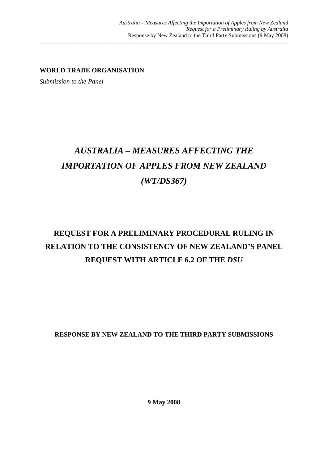**WORLD TRADE ORGANISATION** 

*Submission to the Panel* 

# *AUSTRALIA – MEASURES AFFECTING THE IMPORTATION OF APPLES FROM NEW ZEALAND (WT/DS367)*

\_\_\_\_\_\_\_\_\_\_\_\_\_\_\_\_\_\_\_\_\_\_\_\_\_\_\_\_\_\_\_\_\_\_\_\_\_\_\_\_\_\_\_\_\_\_\_\_\_\_\_\_\_\_\_\_\_\_\_\_\_\_\_\_\_\_\_\_\_\_\_\_\_\_\_\_\_\_\_\_\_\_\_\_\_\_\_\_\_\_

## **REQUEST FOR A PRELIMINARY PROCEDURAL RULING IN RELATION TO THE CONSISTENCY OF NEW ZEALAND'S PANEL REQUEST WITH ARTICLE 6.2 OF THE** *DSU*

**RESPONSE BY NEW ZEALAND TO THE THIRD PARTY SUBMISSIONS** 

**9 May 2008**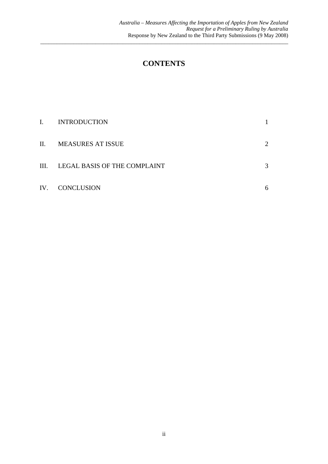### **CONTENTS**

\_\_\_\_\_\_\_\_\_\_\_\_\_\_\_\_\_\_\_\_\_\_\_\_\_\_\_\_\_\_\_\_\_\_\_\_\_\_\_\_\_\_\_\_\_\_\_\_\_\_\_\_\_\_\_\_\_\_\_\_\_\_\_\_\_\_\_\_\_\_\_\_\_\_\_\_\_\_\_\_\_\_\_\_\_\_\_\_\_\_

| I.  | <b>INTRODUCTION</b>          |                             |
|-----|------------------------------|-----------------------------|
| II. | <b>MEASURES AT ISSUE</b>     | $\mathcal{D}_{\mathcal{L}}$ |
| Ш.  | LEGAL BASIS OF THE COMPLAINT | 3                           |
| IV. | <b>CONCLUSION</b>            | h                           |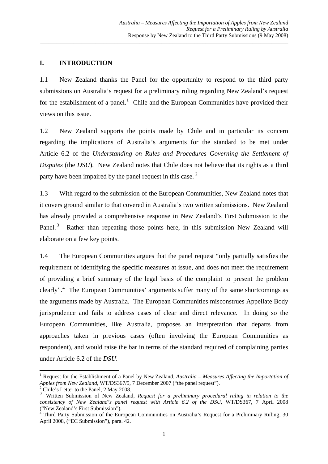#### **I. INTRODUCTION**

1.1 New Zealand thanks the Panel for the opportunity to respond to the third party submissions on Australia's request for a preliminary ruling regarding New Zealand's request for the establishment of a panel.<sup>[1](#page-2-0)</sup> Chile and the European Communities have provided their views on this issue.

\_\_\_\_\_\_\_\_\_\_\_\_\_\_\_\_\_\_\_\_\_\_\_\_\_\_\_\_\_\_\_\_\_\_\_\_\_\_\_\_\_\_\_\_\_\_\_\_\_\_\_\_\_\_\_\_\_\_\_\_\_\_\_\_\_\_\_\_\_\_\_\_\_\_\_\_\_\_\_\_\_\_\_\_\_\_\_\_\_\_

1.2 New Zealand supports the points made by Chile and in particular its concern regarding the implications of Australia's arguments for the standard to be met under Article 6.2 of the *Understanding on Rules and Procedures Governing the Settlement of Disputes* (the *DSU*). New Zealand notes that Chile does not believe that its rights as a third party have been impaired by the panel request in this case.  $2^2$  $2^2$ 

1.3 With regard to the submission of the European Communities, New Zealand notes that it covers ground similar to that covered in Australia's two written submissions. New Zealand has already provided a comprehensive response in New Zealand's First Submission to the Panel.<sup>[3](#page-2-2)</sup> Rather than repeating those points here, in this submission New Zealand will elaborate on a few key points.

1.4 The European Communities argues that the panel request "only partially satisfies the requirement of identifying the specific measures at issue, and does not meet the requirement of providing a brief summary of the legal basis of the complaint to present the problem clearly".<sup>[4](#page-2-3)</sup> The European Communities' arguments suffer many of the same shortcomings as the arguments made by Australia. The European Communities misconstrues Appellate Body jurisprudence and fails to address cases of clear and direct relevance. In doing so the European Communities, like Australia, proposes an interpretation that departs from approaches taken in previous cases (often involving the European Communities as respondent), and would raise the bar in terms of the standard required of complaining parties under Article 6.2 of the *DSU*.

<span id="page-2-0"></span><sup>&</sup>lt;sup>1</sup> Request for the Establishment of a Panel by New Zealand, *Australia – Measures Affecting the Importation of Apples from New Zealand*, WT/DS367/5, 7 December 2007 ("the panel request"). 2

<span id="page-2-1"></span>Chile's Letter to the Panel, 2 May 2008.

<span id="page-2-2"></span><sup>3</sup> Written Submission of New Zealand, *Request for a preliminary procedural ruling in relation to the consistency of New Zealand's panel request with Article 6.2 of the DSU*, WT/DS367, 7 April 2008 ("New Zealand's First Submission").

<span id="page-2-3"></span><sup>4</sup> Third Party Submission of the European Communities on Australia's Request for a Preliminary Ruling, 30 April 2008, ("EC Submission"), para. 42.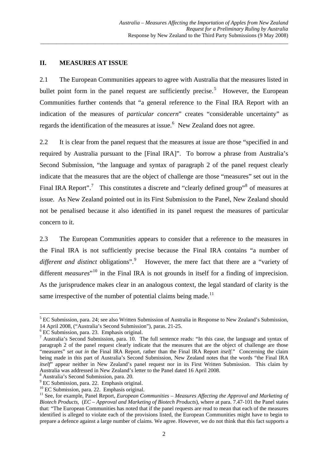#### **II. MEASURES AT ISSUE**

2.1 The European Communities appears to agree with Australia that the measures listed in bullet point form in the panel request are sufficiently precise.<sup>[5](#page-3-0)</sup> However, the European Communities further contends that "a general reference to the Final IRA Report with an indication of the measures of *particular concern*" creates "considerable uncertainty" as regards the identification of the measures at issue.<sup>[6](#page-3-1)</sup> New Zealand does not agree.

\_\_\_\_\_\_\_\_\_\_\_\_\_\_\_\_\_\_\_\_\_\_\_\_\_\_\_\_\_\_\_\_\_\_\_\_\_\_\_\_\_\_\_\_\_\_\_\_\_\_\_\_\_\_\_\_\_\_\_\_\_\_\_\_\_\_\_\_\_\_\_\_\_\_\_\_\_\_\_\_\_\_\_\_\_\_\_\_\_\_

2.2 It is clear from the panel request that the measures at issue are those "specified in and required by Australia pursuant to the [Final IRA]". To borrow a phrase from Australia's Second Submission, "the language and syntax of paragraph 2 of the panel request clearly indicate that the measures that are the object of challenge are those "measures" set out in the Final IRA Report".<sup>[7](#page-3-2)</sup> This constitutes a discrete and "clearly defined group"<sup>[8](#page-3-3)</sup> of measures at issue. As New Zealand pointed out in its First Submission to the Panel, New Zealand should not be penalised because it also identified in its panel request the measures of particular concern to it.

2.3 The European Communities appears to consider that a reference to the measures in the Final IRA is not sufficiently precise because the Final IRA contains "a number of *different and distinct* obligations".[9](#page-3-4) However, the mere fact that there are a "variety of different *measures*<sup>"[10](#page-3-5)</sup> in the Final IRA is not grounds in itself for a finding of imprecision. As the jurisprudence makes clear in an analogous context, the legal standard of clarity is the same irrespective of the number of potential claims being made.<sup>[11](#page-3-6)</sup>

<span id="page-3-0"></span><sup>&</sup>lt;sup>5</sup> EC Submission, para. 24; see also Written Submission of Australia in Response to New Zealand's Submission, 14 April 2008, ("Australia's Second Submission"), paras. 21-25.

<span id="page-3-1"></span><sup>6</sup> EC Submission, para. 23. Emphasis original.

<span id="page-3-2"></span><sup>&</sup>lt;sup>7</sup> Australia's Second Submission, para. 10. The full sentence reads: "In this case, the language and syntax of paragraph 2 of the panel request clearly indicate that the measures that are the object of challenge are those "measures" *set out in* the Final IRA Report, rather than the Final IRA Report *itself*." Concerning the claim being made in this part of Australia's Second Submission, New Zealand notes that the words "the Final IRA *itself*' appear neither in New Zealand's panel request nor in its First Written Submission. This claim by Australia was addressed in New Zealand's letter to the Panel dated 16 April 2008.

<span id="page-3-3"></span><sup>8</sup> Australia's Second Submission, para. 20.

<sup>&</sup>lt;sup>9</sup> EC Submission, para. 22. Emphasis original.

<span id="page-3-5"></span><span id="page-3-4"></span><sup>&</sup>lt;sup>10</sup> EC Submission, para. 22. Emphasis original.

<span id="page-3-6"></span><sup>&</sup>lt;sup>11</sup> See, for example, Panel Report, *European Communities – Measures Affecting the Approval and Marketing of Biotech Products*, (*EC – Approval and Marketing of Biotech Products*), where at para. 7.47-101 the Panel states that: "The European Communities has noted that if the panel requests are read to mean that each of the measures identified is alleged to violate each of the provisions listed, the European Communities might have to begin to prepare a defence against a large number of claims. We agree. However, we do not think that this fact supports a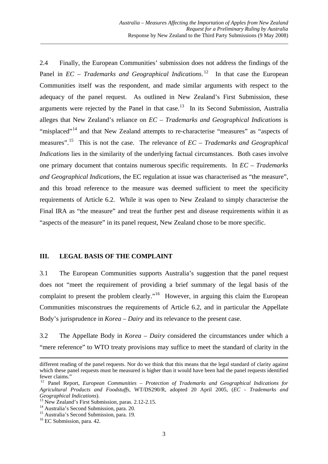2.4 Finally, the European Communities' submission does not address the findings of the Panel in  $EC$  – Trademarks and Geographical Indications.<sup>[12](#page-4-0)</sup> In that case the European Communities itself was the respondent, and made similar arguments with respect to the adequacy of the panel request. As outlined in New Zealand's First Submission, these arguments were rejected by the Panel in that case.<sup>[13](#page-4-1)</sup> In its Second Submission, Australia alleges that New Zealand's reliance on *EC – Trademarks and Geographical Indications* is "misplaced"<sup>[14](#page-4-2)</sup> and that New Zealand attempts to re-characterise "measures" as "aspects of measures".[15](#page-4-3) This is not the case. The relevance of *EC – Trademarks and Geographical Indications* lies in the similarity of the underlying factual circumstances. Both cases involve one primary document that contains numerous specific requirements. In *EC – Trademarks and Geographical Indications*, the EC regulation at issue was characterised as "the measure", and this broad reference to the measure was deemed sufficient to meet the specificity requirements of Article 6.2. While it was open to New Zealand to simply characterise the Final IRA as "the measure" and treat the further pest and disease requirements within it as "aspects of the measure" in its panel request, New Zealand chose to be more specific.

\_\_\_\_\_\_\_\_\_\_\_\_\_\_\_\_\_\_\_\_\_\_\_\_\_\_\_\_\_\_\_\_\_\_\_\_\_\_\_\_\_\_\_\_\_\_\_\_\_\_\_\_\_\_\_\_\_\_\_\_\_\_\_\_\_\_\_\_\_\_\_\_\_\_\_\_\_\_\_\_\_\_\_\_\_\_\_\_\_\_

#### **III. LEGAL BASIS OF THE COMPLAINT**

3.1 The European Communities supports Australia's suggestion that the panel request does not "meet the requirement of providing a brief summary of the legal basis of the complaint to present the problem clearly."<sup>[16](#page-4-4)</sup> However, in arguing this claim the European Communities misconstrues the requirements of Article 6.2, and in particular the Appellate Body's jurisprudence in *Korea – Dairy* and its relevance to the present case.

3.2 The Appellate Body in *Korea – Dairy* considered the circumstances under which a "mere reference" to WTO treaty provisions may suffice to meet the standard of clarity in the

<u> Andreas Andreas Andreas Andreas Andreas Andreas Andreas Andreas Andreas Andreas Andreas Andreas Andreas Andr</u>

different reading of the panel requests. Nor do we think that this means that the legal standard of clarity against which these panel requests must be measured is higher than it would have been had the panel requests identified fewer claims."

<span id="page-4-0"></span><sup>&</sup>lt;sup>12</sup> Panel Report, *European Communities - Protection of Trademarks and Geographical Indications for Agricultural Products and Foodstuffs*, WT/DS290/R, adopted 20 April 2005, (*EC - Trademarks and Geographical Indications*). 13 New Zealand's First Submission, paras. 2.12-2.15.

<span id="page-4-1"></span><sup>&</sup>lt;sup>14</sup> Australia's Second Submission, para. 20.

<span id="page-4-3"></span><span id="page-4-2"></span><sup>&</sup>lt;sup>15</sup> Australia's Second Submission, para. 19.

<span id="page-4-4"></span><sup>&</sup>lt;sup>16</sup> EC Submission, para. 42.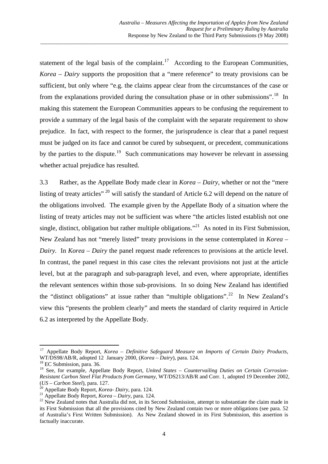statement of the legal basis of the complaint.<sup>[17](#page-5-0)</sup> According to the European Communities, *Korea – Dairy* supports the proposition that a "mere reference" to treaty provisions can be sufficient, but only where "e.g. the claims appear clear from the circumstances of the case or from the explanations provided during the consultation phase or in other submissions".<sup>[18](#page-5-1)</sup> In making this statement the European Communities appears to be confusing the requirement to provide a summary of the legal basis of the complaint with the separate requirement to show prejudice. In fact, with respect to the former, the jurisprudence is clear that a panel request must be judged on its face and cannot be cured by subsequent, or precedent, communications by the parties to the dispute.<sup>[19](#page-5-2)</sup> Such communications may however be relevant in assessing whether actual prejudice has resulted.

\_\_\_\_\_\_\_\_\_\_\_\_\_\_\_\_\_\_\_\_\_\_\_\_\_\_\_\_\_\_\_\_\_\_\_\_\_\_\_\_\_\_\_\_\_\_\_\_\_\_\_\_\_\_\_\_\_\_\_\_\_\_\_\_\_\_\_\_\_\_\_\_\_\_\_\_\_\_\_\_\_\_\_\_\_\_\_\_\_\_

3.3 Rather, as the Appellate Body made clear in *Korea – Dairy,* whether or not the "mere listing of treaty articles"<sup>[20](#page-5-3)</sup> will satisfy the standard of Article 6.2 will depend on the nature of the obligations involved. The example given by the Appellate Body of a situation where the listing of treaty articles may not be sufficient was where "the articles listed establish not one single, distinct, obligation but rather multiple obligations."<sup>[21](#page-5-4)</sup> As noted in its First Submission, New Zealand has not "merely listed" treaty provisions in the sense contemplated in *Korea – Dairy.* In *Korea – Dairy* the panel request made references to provisions at the article level. In contrast, the panel request in this case cites the relevant provisions not just at the article level, but at the paragraph and sub-paragraph level, and even, where appropriate, identifies the relevant sentences within those sub-provisions. In so doing New Zealand has identified the "distinct obligations" at issue rather than "multiple obligations".<sup>[22](#page-5-5)</sup> In New Zealand's view this "presents the problem clearly" and meets the standard of clarity required in Article 6.2 as interpreted by the Appellate Body.

<span id="page-5-0"></span><sup>17</sup> Appellate Body Report, *Korea – Definitive Safeguard Measure on Imports of Certain Dairy Products*, WT/DS98/AB/R, adopted 12 January 2000, (*Korea – Dairy*), para. 124. 18 EC Submission, para. 36.

<span id="page-5-2"></span><span id="page-5-1"></span><sup>&</sup>lt;sup>19</sup> See, for example, Appellate Body Report, *United States – Countervailing Duties on Certain Corrosion-Resistant Carbon Steel Flat Products from Germany, WT/DS213/AB/R and Corr. 1, adopted 19 December 2002, (US – Carbon Steel), para. 127.*<br><sup>20</sup> Appellate Body Report, *Korea- Dairy*, para. 124.

<span id="page-5-5"></span><span id="page-5-4"></span><span id="page-5-3"></span>Appendic Body Report, Korea Dairy, para. 124.<br><sup>21</sup> Appellate Body Report, *Korea – Dairy*, para. 124.<br><sup>22</sup> New Zealand notes that Australia did not, in its Second Submission, attempt to substantiate the claim made in its First Submission that all the provisions cited by New Zealand contain two or more obligations (see para. 52 of Australia's First Written Submission). As New Zealand showed in its First Submission, this assertion is factually inaccurate.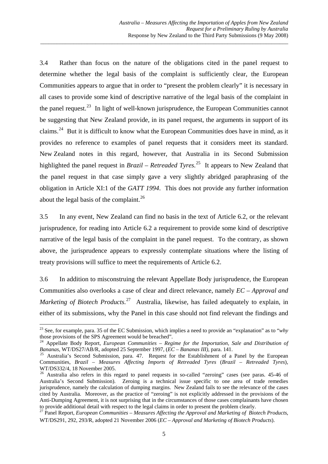3.4 Rather than focus on the nature of the obligations cited in the panel request to determine whether the legal basis of the complaint is sufficiently clear, the European Communities appears to argue that in order to "present the problem clearly" it is necessary in all cases to provide some kind of descriptive narrative of the legal basis of the complaint in the panel request.<sup>[23](#page-6-0)</sup> In light of well-known jurisprudence, the European Communities cannot be suggesting that New Zealand provide, in its panel request, the arguments in support of its claims.[24](#page-6-1) But it is difficult to know what the European Communities does have in mind, as it provides no reference to examples of panel requests that it considers meet its standard. New Zealand notes in this regard, however, that Australia in its Second Submission highlighted the panel request in *Brazil – Retreaded Tyres*.<sup>[25](#page-6-2)</sup> It appears to New Zealand that the panel request in that case simply gave a very slightly abridged paraphrasing of the obligation in Article XI:1 of the *GATT 1994*. This does not provide any further information about the legal basis of the complaint.<sup>[26](#page-6-3)</sup>

\_\_\_\_\_\_\_\_\_\_\_\_\_\_\_\_\_\_\_\_\_\_\_\_\_\_\_\_\_\_\_\_\_\_\_\_\_\_\_\_\_\_\_\_\_\_\_\_\_\_\_\_\_\_\_\_\_\_\_\_\_\_\_\_\_\_\_\_\_\_\_\_\_\_\_\_\_\_\_\_\_\_\_\_\_\_\_\_\_\_

3.5 In any event, New Zealand can find no basis in the text of Article 6.2, or the relevant jurisprudence, for reading into Article 6.2 a requirement to provide some kind of descriptive narrative of the legal basis of the complaint in the panel request. To the contrary, as shown above, the jurisprudence appears to expressly contemplate situations where the listing of treaty provisions will suffice to meet the requirements of Article 6.2.

3.6 In addition to misconstruing the relevant Appellate Body jurisprudence, the European Communities also overlooks a case of clear and direct relevance, namely *EC – Approval and Marketing of Biotech Products.*<sup>[27](#page-6-4)</sup> Australia, likewise, has failed adequately to explain, in either of its submissions, why the Panel in this case should not find relevant the findings and

<span id="page-6-0"></span><sup>23</sup> See, for example, para. 35 of the EC Submission, which implies a need to provide an "explanation" as to "*why* those provisions of the SPS Agreement would be breached".

<span id="page-6-1"></span><sup>24</sup> Appellate Body Report, *European Communities – Regime for the Importation, Sale and Distribution of* 

<span id="page-6-2"></span>*Bananas, WT/DS27/AB/R, adopted 25 September 1997, (<i>EC – Bananas III)*, para. 141.<br><sup>25</sup> Australia's Second Submission, para. 47. Request for the Establishment of a Panel by the European Communities, *Brazil – Measures Affecting Imports of Retreaded Tyres* (*Brazil – Retreaded Tyres*), WT/DS332/4, 18 November 2005.<br><sup>26</sup> Australia also refers in this regard to panel requests in so-called "zeroing" cases (see paras. 45-46 of

<span id="page-6-3"></span>Australia's Second Submission). Zeroing is a technical issue specific to one area of trade remedies jurisprudence, namely the calculation of dumping margins. New Zealand fails to see the relevance of the cases cited by Australia. Moreover, as the practice of "zeroing" is not explicitly addressed in the provisions of the Anti-Dumping Agreement, it is not surprising that in the circumstances of those cases complainants have chosen to provide additional detail with respect to the legal claims in order to present the problem clearly. 27 Panel Report, *European Communities – Measures Affecting the Approval and Marketing of Biotech Products*,

<span id="page-6-4"></span>WT/DS291, 292, 293/R, adopted 21 November 2006 (*EC – Approval and Marketing of Biotech Products*).